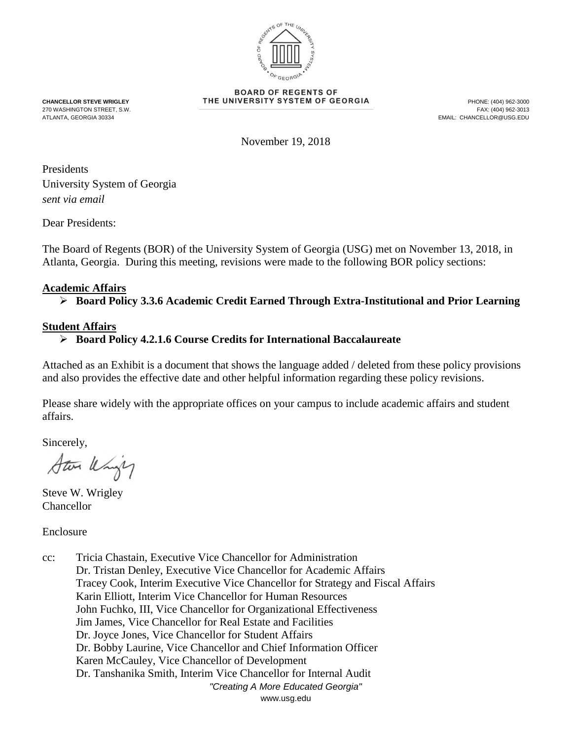

**BOARD OF REGENTS OF CHANCELLOR STEVE WRIGLEY THE UNIVERSITY SYSTEM OF GEORGIA**<br>270 WASHINGTON STREET, S.W. **The State of Alliance Control of State Act and State Control of the State (404) 962-3013** 

270 WASHINGTON STREET, S.W. ATLANTA, GEORGIA 30334 EMAIL: CHANCELLOR@USG.EDU

November 19, 2018

Presidents University System of Georgia *sent via email*

Dear Presidents:

The Board of Regents (BOR) of the University System of Georgia (USG) met on November 13, 2018, in Atlanta, Georgia. During this meeting, revisions were made to the following BOR policy sections:

## **Academic Affairs**

**Board Policy 3.3.6 Academic Credit Earned Through Extra-Institutional and Prior Learning**

## **Student Affairs**

## **Board Policy 4.2.1.6 Course Credits for International Baccalaureate**

Attached as an Exhibit is a document that shows the language added / deleted from these policy provisions and also provides the effective date and other helpful information regarding these policy revisions.

Please share widely with the appropriate offices on your campus to include academic affairs and student affairs.

Sincerely,

Star Uning

Steve W. Wrigley Chancellor

Enclosure

*"Creating A More Educated Georgia"* www.usg.edu cc: Tricia Chastain, Executive Vice Chancellor for Administration Dr. Tristan Denley, Executive Vice Chancellor for Academic Affairs Tracey Cook, Interim Executive Vice Chancellor for Strategy and Fiscal Affairs Karin Elliott, Interim Vice Chancellor for Human Resources John Fuchko, III, Vice Chancellor for Organizational Effectiveness Jim James, Vice Chancellor for Real Estate and Facilities Dr. Joyce Jones, Vice Chancellor for Student Affairs Dr. Bobby Laurine, Vice Chancellor and Chief Information Officer Karen McCauley, Vice Chancellor of Development Dr. Tanshanika Smith, Interim Vice Chancellor for Internal Audit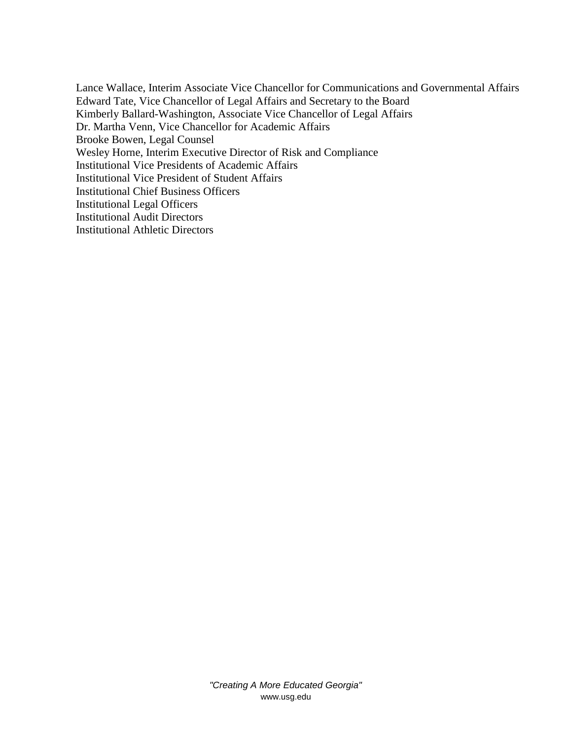Lance Wallace, Interim Associate Vice Chancellor for Communications and Governmental Affairs Edward Tate, Vice Chancellor of Legal Affairs and Secretary to the Board Kimberly Ballard-Washington, Associate Vice Chancellor of Legal Affairs Dr. Martha Venn, Vice Chancellor for Academic Affairs Brooke Bowen, Legal Counsel Wesley Horne, Interim Executive Director of Risk and Compliance Institutional Vice Presidents of Academic Affairs Institutional Vice President of Student Affairs Institutional Chief Business Officers Institutional Legal Officers Institutional Audit Directors Institutional Athletic Directors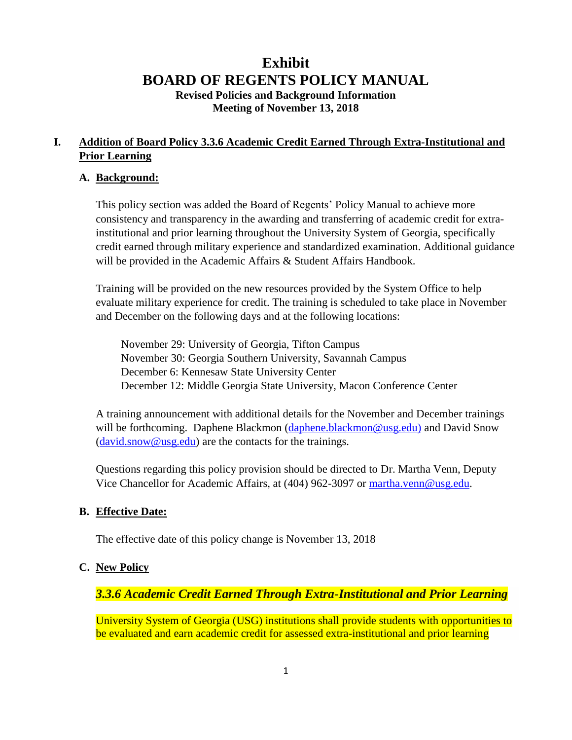# **Exhibit BOARD OF REGENTS POLICY MANUAL Revised Policies and Background Information Meeting of November 13, 2018**

## **I. Addition of Board Policy 3.3.6 Academic Credit Earned Through Extra-Institutional and Prior Learning**

### **A. Background:**

This policy section was added the Board of Regents' Policy Manual to achieve more consistency and transparency in the awarding and transferring of academic credit for extrainstitutional and prior learning throughout the University System of Georgia, specifically credit earned through military experience and standardized examination. Additional guidance will be provided in the Academic Affairs & Student Affairs Handbook.

Training will be provided on the new resources provided by the System Office to help evaluate military experience for credit. The training is scheduled to take place in November and December on the following days and at the following locations:

November 29: University of Georgia, Tifton Campus November 30: Georgia Southern University, Savannah Campus December 6: Kennesaw State University Center December 12: Middle Georgia State University, Macon Conference Center

A training announcement with additional details for the November and December trainings will be forthcoming. Daphene Blackmon [\(daphene.blackmon@usg.edu\)](mailto:daphene.blackmon@usg.edu)) and David Snow [\(david.snow@usg.edu\)](mailto:david.snow@usg.edu) are the contacts for the trainings.

Questions regarding this policy provision should be directed to Dr. Martha Venn, Deputy Vice Chancellor for Academic Affairs, at (404) 962-3097 or [martha.venn@usg.edu.](mailto:martha.venn@usg.edu)

#### **B. Effective Date:**

The effective date of this policy change is November 13, 2018

#### **C. New Policy**

## *3.3.6 Academic Credit Earned Through Extra-Institutional and Prior Learning*

University System of Georgia (USG) institutions shall provide students with opportunities to be evaluated and earn academic credit for assessed extra-institutional and prior learning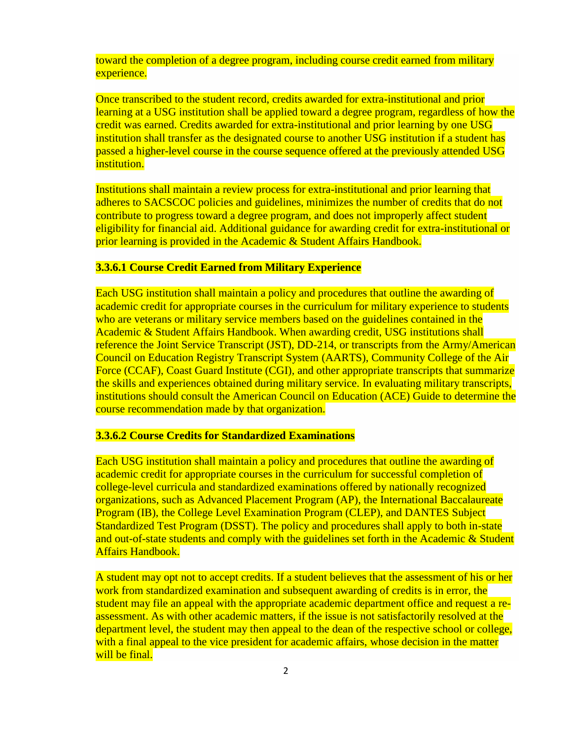toward the completion of a degree program, including course credit earned from military experience.

Once transcribed to the student record, credits awarded for extra-institutional and prior learning at a USG institution shall be applied toward a degree program, regardless of how the credit was earned. Credits awarded for extra-institutional and prior learning by one USG institution shall transfer as the designated course to another USG institution if a student has passed a higher-level course in the course sequence offered at the previously attended USG institution.

Institutions shall maintain a review process for extra-institutional and prior learning that adheres to SACSCOC policies and guidelines, minimizes the number of credits that do not contribute to progress toward a degree program, and does not improperly affect student eligibility for financial aid. Additional guidance for awarding credit for extra-institutional or prior learning is provided in the Academic & Student Affairs Handbook.

#### **3.3.6.1 Course Credit Earned from Military Experience**

Each USG institution shall maintain a policy and procedures that outline the awarding of academic credit for appropriate courses in the curriculum for military experience to students who are veterans or military service members based on the guidelines contained in the Academic & Student Affairs Handbook. When awarding credit, USG institutions shall reference the Joint Service Transcript (JST), DD-214, or transcripts from the Army/American Council on Education Registry Transcript System (AARTS), Community College of the Air Force (CCAF), Coast Guard Institute (CGI), and other appropriate transcripts that summarize the skills and experiences obtained during military service. In evaluating military transcripts, institutions should consult the American Council on Education (ACE) Guide to determine the course recommendation made by that organization.

#### **3.3.6.2 Course Credits for Standardized Examinations**

Each USG institution shall maintain a policy and procedures that outline the awarding of academic credit for appropriate courses in the curriculum for successful completion of college-level curricula and standardized examinations offered by nationally recognized organizations, such as Advanced Placement Program (AP), the International Baccalaureate Program (IB), the College Level Examination Program (CLEP), and DANTES Subject Standardized Test Program (DSST). The policy and procedures shall apply to both in-state and out-of-state students and comply with the guidelines set forth in the Academic & Student Affairs Handbook.

A student may opt not to accept credits. If a student believes that the assessment of his or her work from standardized examination and subsequent awarding of credits is in error, the student may file an appeal with the appropriate academic department office and request a reassessment. As with other academic matters, if the issue is not satisfactorily resolved at the department level, the student may then appeal to the dean of the respective school or college, with a final appeal to the vice president for academic affairs, whose decision in the matter will be final.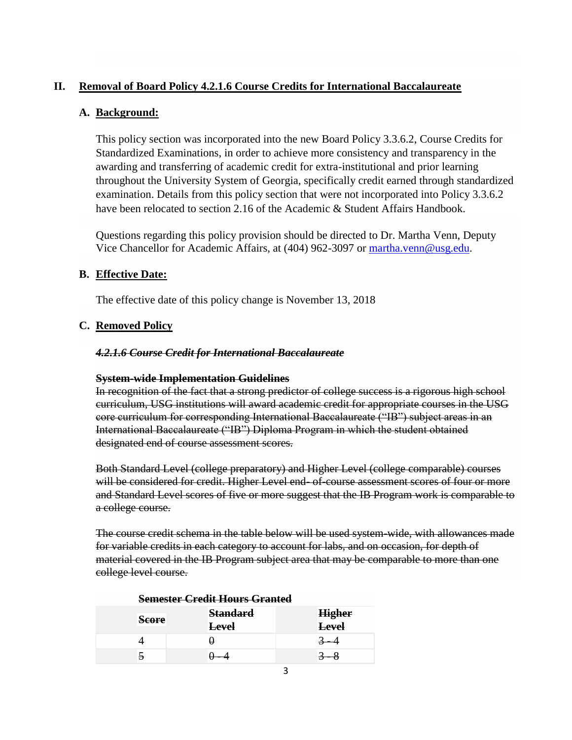## **II. Removal of Board Policy 4.2.1.6 Course Credits for International Baccalaureate**

## **A. Background:**

This policy section was incorporated into the new Board Policy 3.3.6.2, Course Credits for Standardized Examinations, in order to achieve more consistency and transparency in the awarding and transferring of academic credit for extra-institutional and prior learning throughout the University System of Georgia, specifically credit earned through standardized examination. Details from this policy section that were not incorporated into Policy 3.3.6.2 have been relocated to section 2.16 of the Academic & Student Affairs Handbook.

Questions regarding this policy provision should be directed to Dr. Martha Venn, Deputy Vice Chancellor for Academic Affairs, at (404) 962-3097 or [martha.venn@usg.edu.](mailto:martha.venn@usg.edu)

## **B. Effective Date:**

The effective date of this policy change is November 13, 2018

## **C. Removed Policy**

#### *4.2.1.6 Course Credit for International Baccalaureate*

#### **System-wide Implementation Guidelines**

In recognition of the fact that a strong predictor of college success is a rigorous high school curriculum, USG institutions will award academic credit for appropriate courses in the USG core curriculum for corresponding International Baccalaureate ("IB") subject areas in an International Baccalaureate ("IB") Diploma Program in which the student obtained designated end of course assessment scores.

Both Standard Level (college preparatory) and Higher Level (college comparable) courses will be considered for credit. Higher Level end- of-course assessment scores of four or more and Standard Level scores of five or more suggest that the IB Program work is comparable to a college course.

The course credit schema in the table below will be used system-wide, with allowances made for variable credits in each category to account for labs, and on occasion, for depth of material covered in the IB Program subject area that may be comparable to more than one college level course.

| <del>Semester Crean Hours Grantea</del> |                 |               |  |
|-----------------------------------------|-----------------|---------------|--|
| <b>Score</b>                            | <b>Standard</b> | <b>Higher</b> |  |
|                                         | <b>Level</b>    | <b>Level</b>  |  |
|                                         |                 |               |  |
|                                         |                 |               |  |

## **Semester Credit Hours Granted**